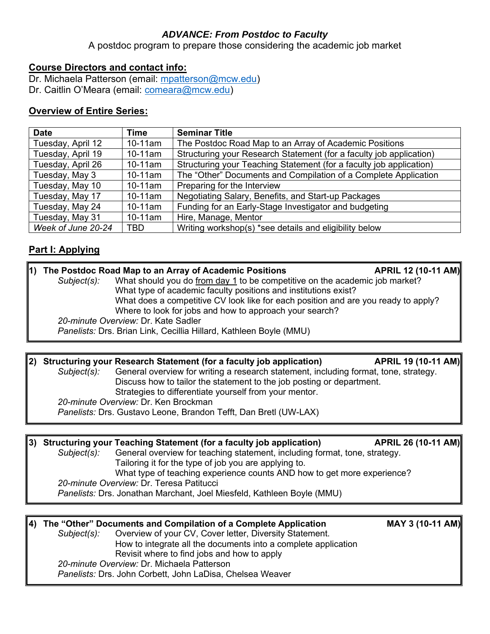## *ADVANCE: From Postdoc to Faculty*

A postdoc program to prepare those considering the academic job market

## **Course Directors and contact info:**

Dr. Michaela Patterson (email: [mpatterson@mcw.edu\)](file://///mcwcorp.net/Departments/CellBio/Users/mpatterson/MPdesktop/MCW/Postdoc%20-%20Academic%20Career%20Path/2020/mpatterson@mcw.edu)

Dr. Caitlin O'Meara (email: [comeara@mcw.edu\)](file://///mcwcorp.net/Departments/CellBio/Users/mpatterson/MPdesktop/MCW/Postdoc%20-%20Academic%20Career%20Path/2020/comeara@mcw.edu)

## **Overview of Entire Series:**

| <b>Date</b>        | Time       | <b>Seminar Title</b>                                                |  |
|--------------------|------------|---------------------------------------------------------------------|--|
| Tuesday, April 12  | $10-11$ am | The Postdoc Road Map to an Array of Academic Positions              |  |
| Tuesday, April 19  | $10-11$ am | Structuring your Research Statement (for a faculty job application) |  |
| Tuesday, April 26  | $10-11$ am | Structuring your Teaching Statement (for a faculty job application) |  |
| Tuesday, May 3     | $10-11$ am | The "Other" Documents and Compilation of a Complete Application     |  |
| Tuesday, May 10    | $10-11$ am | Preparing for the Interview                                         |  |
| Tuesday, May 17    | $10-11$ am | Negotiating Salary, Benefits, and Start-up Packages                 |  |
| Tuesday, May 24    | $10-11$ am | Funding for an Early-Stage Investigator and budgeting               |  |
| Tuesday, May 31    | $10-11$ am | Hire, Manage, Mentor                                                |  |
| Week of June 20-24 | <b>TBD</b> | Writing workshop(s) *see details and eligibility below              |  |

# **Part I: Applying**

| 11)                                                             |                                                                    | The Postdoc Road Map to an Array of Academic Positions                                                                                        |  |  |  |
|-----------------------------------------------------------------|--------------------------------------------------------------------|-----------------------------------------------------------------------------------------------------------------------------------------------|--|--|--|
|                                                                 | Subject(s):                                                        | What should you do from day 1 to be competitive on the academic job market?                                                                   |  |  |  |
| What type of academic faculty positions and institutions exist? |                                                                    |                                                                                                                                               |  |  |  |
|                                                                 |                                                                    | What does a competitive CV look like for each position and are you ready to apply?<br>Where to look for jobs and how to approach your search? |  |  |  |
|                                                                 |                                                                    |                                                                                                                                               |  |  |  |
| 20-minute Overview: Dr. Kate Sadler                             |                                                                    |                                                                                                                                               |  |  |  |
|                                                                 | Panelists: Drs. Brian Link, Cecillia Hillard, Kathleen Boyle (MMU) |                                                                                                                                               |  |  |  |
|                                                                 |                                                                    |                                                                                                                                               |  |  |  |

#### 2) Structuring your Research Statement (for a faculty job application) **APRIL 19 (10-11 AM)** *Subject(s):* General overview for writing a research statement, including format, tone, strategy. Discuss how to tailor the statement to the job posting or department. Strategies to differentiate yourself from your mentor. *20-minute Overview:* Dr. Ken Brockman *Panelists:* Drs. Gustavo Leone, Brandon Tefft, Dan Bretl (UW-LAX)

**3) Structuring your Teaching Statement (for a faculty job application) APRIL 26 (10-11 AM)** *Subject(s):* General overview for teaching statement, including format, tone, strategy. Tailoring it for the type of job you are applying to. What type of teaching experience counts AND how to get more experience? *20-minute Overview:* Dr. Teresa Patitucci *Panelists:* Drs. Jonathan Marchant, Joel Miesfeld, Kathleen Boyle (MMU)

### 4) The "Other" Documents and Compilation of a Complete Application MAY 3 (10-11 AM)<br>Subject(s): Overview of your CV, Cover letter, Diversity Statement. **Overview of your CV, Cover letter, Diversity Statement.** How to integrate all the documents into a complete application Revisit where to find jobs and how to apply *20-minute Overview:* Dr. Michaela Patterson *Panelists:* Drs. John Corbett, John LaDisa, Chelsea Weaver